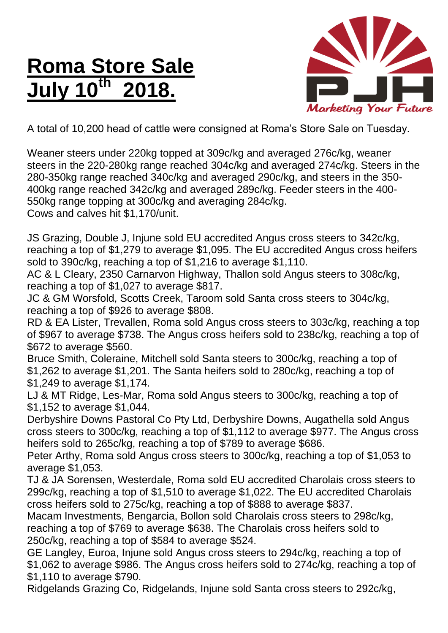## **Roma Store Sale July 10th 2018.**



A total of 10,200 head of cattle were consigned at Roma's Store Sale on Tuesday.

Weaner steers under 220kg topped at 309c/kg and averaged 276c/kg, weaner steers in the 220-280kg range reached 304c/kg and averaged 274c/kg. Steers in the 280-350kg range reached 340c/kg and averaged 290c/kg, and steers in the 350- 400kg range reached 342c/kg and averaged 289c/kg. Feeder steers in the 400- 550kg range topping at 300c/kg and averaging 284c/kg. Cows and calves hit \$1,170/unit.

JS Grazing, Double J, Injune sold EU accredited Angus cross steers to 342c/kg, reaching a top of \$1,279 to average \$1,095. The EU accredited Angus cross heifers sold to 390c/kg, reaching a top of \$1,216 to average \$1,110.

AC & L Cleary, 2350 Carnarvon Highway, Thallon sold Angus steers to 308c/kg, reaching a top of \$1,027 to average \$817.

JC & GM Worsfold, Scotts Creek, Taroom sold Santa cross steers to 304c/kg, reaching a top of \$926 to average \$808.

RD & EA Lister, Trevallen, Roma sold Angus cross steers to 303c/kg, reaching a top of \$967 to average \$738. The Angus cross heifers sold to 238c/kg, reaching a top of \$672 to average \$560.

Bruce Smith, Coleraine, Mitchell sold Santa steers to 300c/kg, reaching a top of \$1,262 to average \$1,201. The Santa heifers sold to 280c/kg, reaching a top of \$1,249 to average \$1,174.

LJ & MT Ridge, Les-Mar, Roma sold Angus steers to 300c/kg, reaching a top of \$1,152 to average \$1,044.

Derbyshire Downs Pastoral Co Pty Ltd, Derbyshire Downs, Augathella sold Angus cross steers to 300c/kg, reaching a top of \$1,112 to average \$977. The Angus cross heifers sold to 265c/kg, reaching a top of \$789 to average \$686.

Peter Arthy, Roma sold Angus cross steers to 300c/kg, reaching a top of \$1,053 to average \$1,053.

TJ & JA Sorensen, Westerdale, Roma sold EU accredited Charolais cross steers to 299c/kg, reaching a top of \$1,510 to average \$1,022. The EU accredited Charolais cross heifers sold to 275c/kg, reaching a top of \$888 to average \$837.

Macam Investments, Bengarcia, Bollon sold Charolais cross steers to 298c/kg, reaching a top of \$769 to average \$638. The Charolais cross heifers sold to 250c/kg, reaching a top of \$584 to average \$524.

GE Langley, Euroa, Injune sold Angus cross steers to 294c/kg, reaching a top of \$1,062 to average \$986. The Angus cross heifers sold to 274c/kg, reaching a top of \$1,110 to average \$790.

Ridgelands Grazing Co, Ridgelands, Injune sold Santa cross steers to 292c/kg,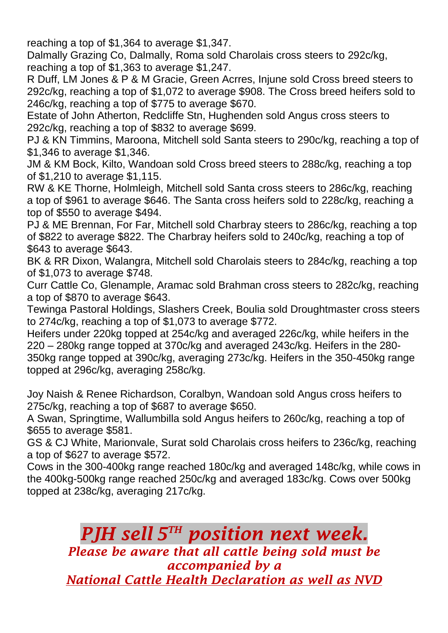reaching a top of \$1,364 to average \$1,347.

Dalmally Grazing Co, Dalmally, Roma sold Charolais cross steers to 292c/kg, reaching a top of \$1,363 to average \$1,247.

R Duff, LM Jones & P & M Gracie, Green Acrres, Injune sold Cross breed steers to 292c/kg, reaching a top of \$1,072 to average \$908. The Cross breed heifers sold to 246c/kg, reaching a top of \$775 to average \$670.

Estate of John Atherton, Redcliffe Stn, Hughenden sold Angus cross steers to 292c/kg, reaching a top of \$832 to average \$699.

PJ & KN Timmins, Maroona, Mitchell sold Santa steers to 290c/kg, reaching a top of \$1,346 to average \$1,346.

JM & KM Bock, Kilto, Wandoan sold Cross breed steers to 288c/kg, reaching a top of \$1,210 to average \$1,115.

RW & KE Thorne, Holmleigh, Mitchell sold Santa cross steers to 286c/kg, reaching a top of \$961 to average \$646. The Santa cross heifers sold to 228c/kg, reaching a top of \$550 to average \$494.

PJ & ME Brennan, For Far, Mitchell sold Charbray steers to 286c/kg, reaching a top of \$822 to average \$822. The Charbray heifers sold to 240c/kg, reaching a top of \$643 to average \$643.

BK & RR Dixon, Walangra, Mitchell sold Charolais steers to 284c/kg, reaching a top of \$1,073 to average \$748.

Curr Cattle Co, Glenample, Aramac sold Brahman cross steers to 282c/kg, reaching a top of \$870 to average \$643.

Tewinga Pastoral Holdings, Slashers Creek, Boulia sold Droughtmaster cross steers to 274c/kg, reaching a top of \$1,073 to average \$772.

Heifers under 220kg topped at 254c/kg and averaged 226c/kg, while heifers in the 220 – 280kg range topped at 370c/kg and averaged 243c/kg. Heifers in the 280- 350kg range topped at 390c/kg, averaging 273c/kg. Heifers in the 350-450kg range topped at 296c/kg, averaging 258c/kg.

Joy Naish & Renee Richardson, Coralbyn, Wandoan sold Angus cross heifers to 275c/kg, reaching a top of \$687 to average \$650.

A Swan, Springtime, Wallumbilla sold Angus heifers to 260c/kg, reaching a top of \$655 to average \$581.

GS & CJ White, Marionvale, Surat sold Charolais cross heifers to 236c/kg, reaching a top of \$627 to average \$572.

Cows in the 300-400kg range reached 180c/kg and averaged 148c/kg, while cows in the 400kg-500kg range reached 250c/kg and averaged 183c/kg. Cows over 500kg topped at 238c/kg, averaging 217c/kg.

## *PJH sell* **5<sup>TH</sup> position next week.** *Please be aware that all cattle being sold must be accompanied by a National Cattle Health Declaration as well as NVD*